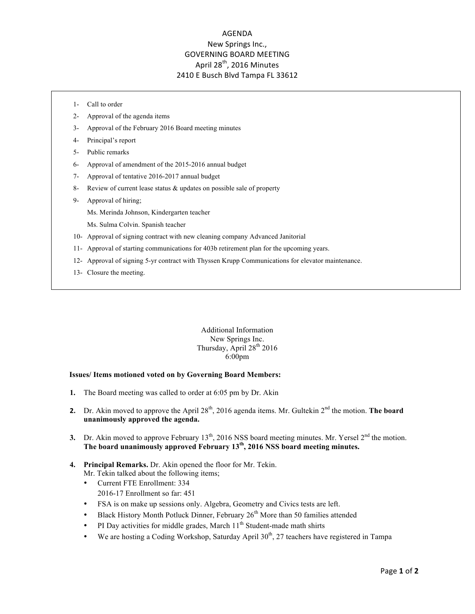## AGENDA New Springs Inc., **GOVERNING BOARD MEETING** April 28<sup>th</sup>, 2016 Minutes 2410 E Busch Blvd Tampa FL 33612

- 1- Call to order
- 2- Approval of the agenda items
- 3- Approval of the February 2016 Board meeting minutes
- 4- Principal's report
- 5- Public remarks
- 6- Approval of amendment of the 2015-2016 annual budget
- 7- Approval of tentative 2016-2017 annual budget
- 8- Review of current lease status & updates on possible sale of property
- 9- Approval of hiring;
	- Ms. Merinda Johnson, Kindergarten teacher
	- Ms. Sulma Colvin. Spanish teacher
- 10- Approval of signing contract with new cleaning company Advanced Janitorial
- 11- Approval of starting communications for 403b retirement plan for the upcoming years.
- 12- Approval of signing 5-yr contract with Thyssen Krupp Communications for elevator maintenance.
- 13- Closure the meeting.

Additional Information New Springs Inc. Thursday, April  $28<sup>th</sup> 2016$ 6:00pm

## **Issues/ Items motioned voted on by Governing Board Members:**

- **1.** The Board meeting was called to order at 6:05 pm by Dr. Akin
- **2.** Dr. Akin moved to approve the April 28<sup>th</sup>, 2016 agenda items. Mr. Gultekin 2<sup>nd</sup> the motion. **The board unanimously approved the agenda.**
- **3.** Dr. Akin moved to approve February  $13<sup>th</sup>$ , 2016 NSS board meeting minutes. Mr. Yersel  $2<sup>nd</sup>$  the motion. **The board unanimously approved February 13th, 2016 NSS board meeting minutes.**
- **4. Principal Remarks.** Dr. Akin opened the floor for Mr. Tekin. Mr. Tekin talked about the following items;
	- Current FTE Enrollment: 334
		- 2016-17 Enrollment so far: 451
	- FSA is on make up sessions only. Algebra, Geometry and Civics tests are left.
	- Black History Month Potluck Dinner, February  $26<sup>th</sup>$  More than 50 families attended
	- PI Day activities for middle grades, March  $11<sup>th</sup>$  Student-made math shirts
	- We are hosting a Coding Workshop, Saturday April  $30<sup>th</sup>$ , 27 teachers have registered in Tampa